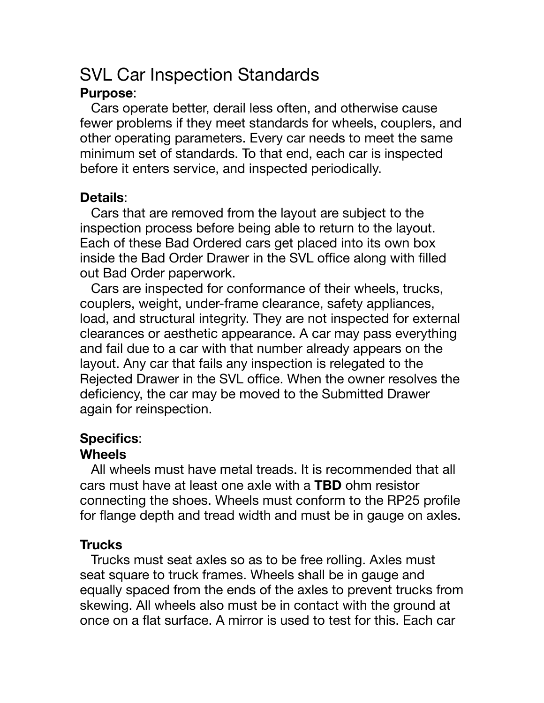# SVL Car Inspection Standards

## **Purpose**:

 Cars operate better, derail less often, and otherwise cause fewer problems if they meet standards for wheels, couplers, and other operating parameters. Every car needs to meet the same minimum set of standards. To that end, each car is inspected before it enters service, and inspected periodically.

## **Details**:

 Cars that are removed from the layout are subject to the inspection process before being able to return to the layout. Each of these Bad Ordered cars get placed into its own box inside the Bad Order Drawer in the SVL office along with filled out Bad Order paperwork.

 Cars are inspected for conformance of their wheels, trucks, couplers, weight, under-frame clearance, safety appliances, load, and structural integrity. They are not inspected for external clearances or aesthetic appearance. A car may pass everything and fail due to a car with that number already appears on the layout. Any car that fails any inspection is relegated to the Rejected Drawer in the SVL office. When the owner resolves the deficiency, the car may be moved to the Submitted Drawer again for reinspection.

## **Specifics**:

## **Wheels**

 All wheels must have metal treads. It is recommended that all cars must have at least one axle with a **TBD** ohm resistor connecting the shoes. Wheels must conform to the RP25 profile for flange depth and tread width and must be in gauge on axles.

## **Trucks**

 Trucks must seat axles so as to be free rolling. Axles must seat square to truck frames. Wheels shall be in gauge and equally spaced from the ends of the axles to prevent trucks from skewing. All wheels also must be in contact with the ground at once on a flat surface. A mirror is used to test for this. Each car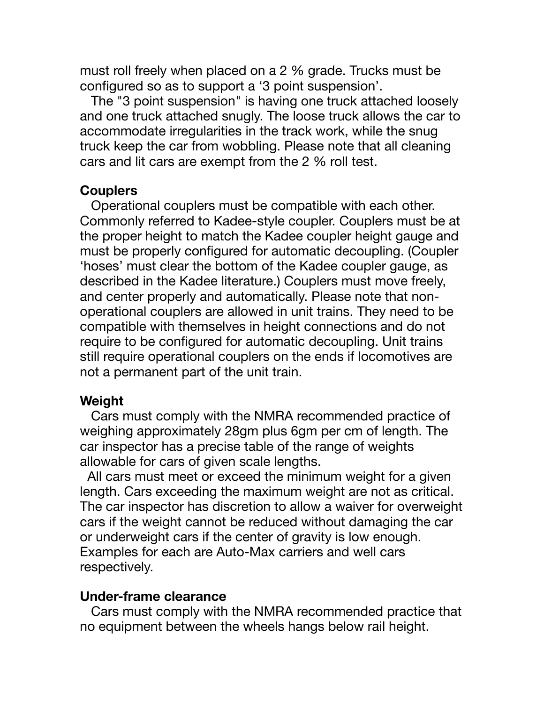must roll freely when placed on a 2 % grade. Trucks must be configured so as to support a '3 point suspension'.

 The "3 point suspension" is having one truck attached loosely and one truck attached snugly. The loose truck allows the car to accommodate irregularities in the track work, while the snug truck keep the car from wobbling. Please note that all cleaning cars and lit cars are exempt from the 2 % roll test.

#### **Couplers**

 Operational couplers must be compatible with each other. Commonly referred to Kadee-style coupler. Couplers must be at the proper height to match the Kadee coupler height gauge and must be properly configured for automatic decoupling. (Coupler 'hoses' must clear the bottom of the Kadee coupler gauge, as described in the Kadee literature.) Couplers must move freely, and center properly and automatically. Please note that nonoperational couplers are allowed in unit trains. They need to be compatible with themselves in height connections and do not require to be configured for automatic decoupling. Unit trains still require operational couplers on the ends if locomotives are not a permanent part of the unit train.

#### **Weight**

 Cars must comply with the NMRA recommended practice of weighing approximately 28gm plus 6gm per cm of length. The car inspector has a precise table of the range of weights allowable for cars of given scale lengths.

 All cars must meet or exceed the minimum weight for a given length. Cars exceeding the maximum weight are not as critical. The car inspector has discretion to allow a waiver for overweight cars if the weight cannot be reduced without damaging the car or underweight cars if the center of gravity is low enough. Examples for each are Auto-Max carriers and well cars respectively.

#### **Under-frame clearance**

 Cars must comply with the NMRA recommended practice that no equipment between the wheels hangs below rail height.